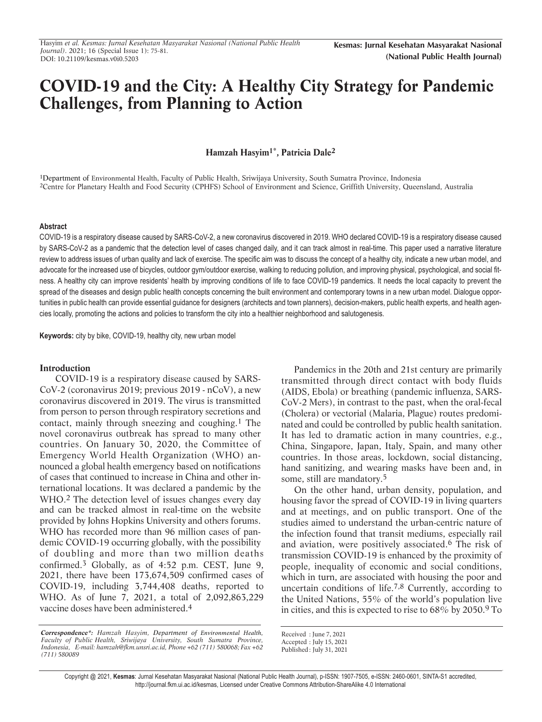# **COVID-19 and the City: A Healthy City Strategy for Pandemic Challenges, from Planning to Action**

# **Hamzah Hasyim1\*, Patricia Dale2**

<sup>1</sup>Department of Environmental Health, Faculty of Public Health, Sriwijaya University, South Sumatra Province, Indonesia 2Centre for Planetary Health and Food Security (CPHFS) School of Environment and Science, Griffith University, Queensland, Australia

# **Abstract**

COVID-19 is a respiratory disease caused by SARS-CoV-2, a new coronavirus discovered in 2019. WHO declared COVID-19 is a respiratory disease caused by SARS-CoV-2 as a pandemic that the detection level of cases changed daily, and it can track almost in real-time. This paper used a narrative literature review to address issues of urban quality and lack of exercise. The specific aim was to discuss the concept of a healthy city, indicate a new urban model, and advocate for the increased use of bicycles, outdoor gym/outdoor exercise, walking to reducing pollution, and improving physical, psychological, and social fitness. A healthy city can improve residents' health by improving conditions of life to face COVID-19 pandemics. It needs the local capacity to prevent the spread of the diseases and design public health concepts concerning the built environment and contemporary towns in a new urban model. Dialogue opportunities in public health can provide essential guidance for designers (architects and town planners), decision-makers, public health experts, and health agencies locally, promoting the actions and policies to transform the city into a healthier neighborhood and salutogenesis.

**Keywords:** city by bike, COVID-19, healthy city, new urban model

## **Introduction**

COVID-19 is a respiratory disease caused by SARS-CoV-2 (coronavirus 2019; previous 2019 - nCoV), a new coronavirus discovered in 2019. The virus is transmitted from person to person through respiratory secretions and contact, mainly through sneezing and coughing.[1](#page-5-0) The novel coronavirus outbreak has spread to many other countries. On January 30, 2020, the Committee of Emergency World Health Organization (WHO) announced a global health emergency based on notifications of cases that continued to increase in China and other international locations. It was declared a pandemic by the WHO.[2](#page-5-0) The detection level of issues changes every day and can be tracked almost in real-time on the website provided by Johns Hopkins University and others forums. WHO has recorded more than 96 million cases of pandemic COVID-19 occurring globally, with the possibility of doubling and more than two million deaths confirmed.[3](#page-5-0) Globally, as of 4:52 p.m. CEST, June 9, 2021, there have been 173,674,509 confirmed cases of COVID-19, including 3,744,408 deaths, reported to WHO. As of June 7, 2021, a total of 2,092,863,229 vaccine doses have been administered.<sup>[4](#page-5-0)</sup>

Pandemics in the 20th and 21st century are primarily transmitted through direct contact with body fluids (AIDS, Ebola) or breathing (pandemic influenza, SARS-CoV-2 Mers), in contrast to the past, when the oral-fecal (Cholera) or vectorial (Malaria, Plague) routes predominated and could be controlled by public health sanitation. It has led to dramatic action in many countries, e.g., China, Singapore, Japan, Italy, Spain, and many other countries. In those areas, lockdown, social distancing, hand sanitizing, and wearing masks have been and, in some, still are mandatory.[5](#page-5-0)

On the other hand, urban density, population, and housing favor the spread of COVID-19 in living quarters and at meetings, and on public transport. One of the studies aimed to understand the urban-centric nature of the infection found that transit mediums, especially rail and aviation, were positively associated.[6](#page-5-0) The risk of transmission COVID-19 is enhanced by the proximity of people, inequality of economic and social conditions, which in turn, are associated with housing the poor and uncertain conditions of life.[7,8](#page-5-0) Currently, according to the United Nations, 55% of the world's population live in cities, and this is expected to rise to 68% by 2050[.9](#page-5-0) To

Copyright @ 2021, **Kesmas**: Jurnal Kesehatan Masyarakat Nasional (National Public Health Journal), p-ISSN: 1907-7505, e-ISSN: 2460-0601, SINTA-S1 accredited, http://journal.fkm.ui.ac.id/kesmas, Licensed under Creative Commons Attribution-ShareAlike 4.0 International

**Correspondence\*:** *Hamzah Hasyim, Department of Environmental Health, Faculty of Public Health, Sriwijaya University, South Sumatra Province, Indonesia, E-mail: hamzah@fkm.unsri.ac.id, Phone +62 (711) 580068; Fax +62 (711) 580089*

Received : June 7, 2021

Accepted : July 15, 2021

Published: July 31, 2021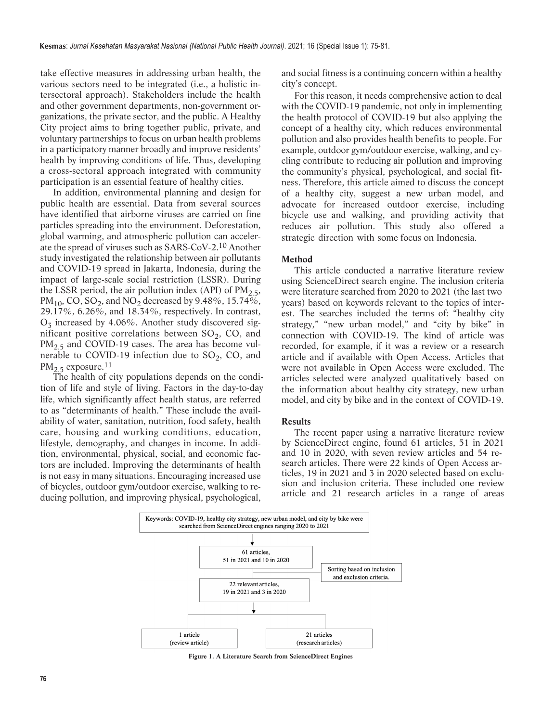<span id="page-1-0"></span>take effective measures in addressing urban health, the various sectors need to be integrated (i.e., a holistic intersectoral approach). Stakeholders include the health and other government departments, non-government organizations, the private sector, and the public. A Healthy City project aims to bring together public, private, and voluntary partnerships to focus on urban health problems in a participatory manner broadly and improve residents' health by improving conditions of life. Thus, developing a cross-sectoral approach integrated with community participation is an essential feature of healthy cities.

In addition, environmental planning and design for public health are essential. Data from several sources have identified that airborne viruses are carried on fine particles spreading into the environment. Deforestation, global warming, and atmospheric pollution can accelerate the spread of viruses such as SARS-CoV-2.[10](#page-5-0) Another study investigated the relationship between air pollutants and COVID-19 spread in Jakarta, Indonesia, during the impact of large-scale social restriction (LSSR). During the LSSR period, the air pollution index (API) of  $PM<sub>2.5</sub>$ , PM<sub>10</sub>, CO, SO<sub>2</sub>, and NO<sub>2</sub> decreased by 9.48%, 15.74%, 29.17%, 6.26%, and 18.34%, respectively. In contrast,  $O_3$  increased by 4.06%. Another study discovered sigmificant positive correlations between  $SO_2$ , CO, and  $PM<sub>2.5</sub>$  and COVID-19 cases. The area has become vulnerable to COVID-19 infection due to  $SO_2$ , CO, and  $PM<sub>2.5</sub>$  exposure.<sup>[11](#page-5-0)</sup>

The health of city populations depends on the condition of life and style of living. Factors in the day-to-day life, which significantly affect health status, are referred to as "determinants of health." These include the availability of water, sanitation, nutrition, food safety, health care, housing and working conditions, education, lifestyle, demography, and changes in income. In addition, environmental, physical, social, and economic factors are included. Improving the determinants of health is not easy in many situations. Encouraging increased use of bicycles, outdoor gym/outdoor exercise, walking to reducing pollution, and improving physical, psychological,

and social fitness is a continuing concern within a healthy city's concept.

For this reason, it needs comprehensive action to deal with the COVID-19 pandemic, not only in implementing the health protocol of COVID-19 but also applying the concept of a healthy city, which reduces environmental pollution and also provides health benefits to people. For example, outdoor gym/outdoor exercise, walking, and cycling contribute to reducing air pollution and improving the community's physical, psychological, and social fitness. Therefore, this article aimed to discuss the concept of a healthy city, suggest a new urban model, and advocate for increased outdoor exercise, including bicycle use and walking, and providing activity that reduces air pollution. This study also offered a strategic direction with some focus on Indonesia.

# **Method**

This article conducted a narrative literature review using ScienceDirect search engine. The inclusion criteria were literature searched from 2020 to 2021 (the last two years) based on keywords relevant to the topics of interest. The searches included the terms of: "healthy city strategy," "new urban model," and "city by bike" in connection with COVID-19. The kind of article was recorded, for example, if it was a review or a research article and if available with Open Access. Articles that were not available in Open Access were excluded. The articles selected were analyzed qualitatively based on the information about healthy city strategy, new urban model, and city by bike and in the context of COVID-19.

## **Results**

The recent paper using a narrative literature review by ScienceDirect engine, found 61 articles, 51 in 2021 and 10 in 2020, with seven review articles and 54 research articles. There were 22 kinds of Open Access articles, 19 in 2021 and 3 in 2020 selected based on exclusion and inclusion criteria. These included one review article and 21 research articles in a range of areas



**Figure 1. A Literature Search from ScienceDirect Engines**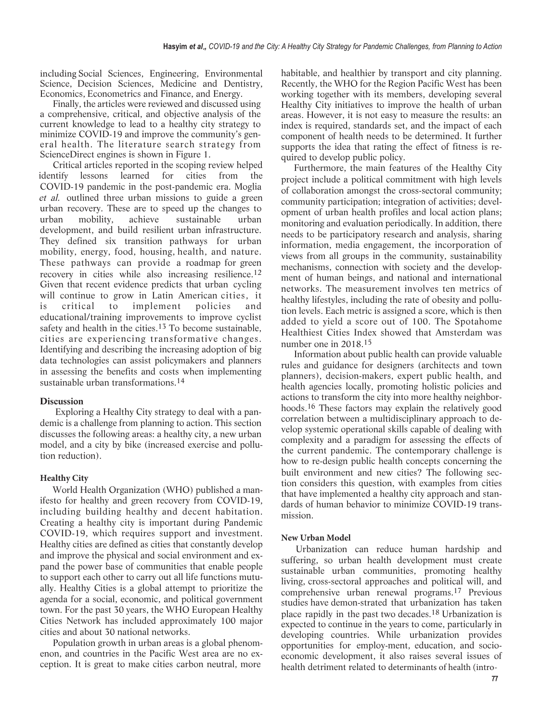including Social Sciences, Engineering, Environmental Science, Decision Sciences, Medicine and Dentistry, Economics, Econometrics and Finance, and Energy.

Finally, the articles were reviewed and discussed using a comprehensive, critical, and objective analysis of the current knowledge to lead to a healthy city strategy to minimize COVID-19 and improve the community's general health. The literature search strategy from ScienceDirect engines is shown in [Figure 1.](#page-1-0)

Critical articles reported in the scoping review helped identify lessons learned for cities from the COVID-19 pandemic in the post-pandemic era. Moglia et al. outlined three urban missions to guide a green urban recovery. These are to speed up the changes to urban mobility, achieve sustainable urban development, and build resilient urban infrastructure. They defined six transition pathways for urban mobility, energy, food, housing, health, and nature. These pathways can provide a roadmap for green recovery in cities while also increasing resilience.[12](#page-5-0) Given that recent evidence predicts that urban cycling will continue to grow in Latin American cities, it is critical to implement policies and educational/training improvements to improve cyclist safety and health in the cities.<sup>[13](#page-5-0)</sup> To become sustainable, cities are experiencing transformative changes. Identifying and describing the increasing adoption of big data technologies can assist policymakers and planners in assessing the benefits and costs when implementing sustainable urban transformations.[14](#page-5-0)

# **Discussion**

Exploring a Healthy City strategy to deal with a pandemic is a challenge from planning to action. This section discusses the following areas: a healthy city, a new urban model, and a city by bike (increased exercise and pollution reduction).

# **Healthy City**

World Health Organization (WHO) published a manifesto for healthy and green recovery from COVID-19, including building healthy and decent habitation. Creating a healthy city is important during Pandemic COVID-19, which requires support and investment. Healthy cities are defined as cities that constantly develop and improve the physical and social environment and expand the power base of communities that enable people to support each other to carry out all life functions mutually. Healthy Cities is a global attempt to prioritize the agenda for a social, economic, and political government town. For the past 30 years, the WHO European Healthy Cities Network has included approximately 100 major cities and about 30 national networks.

Population growth in urban areas is a global phenomenon, and countries in the Pacific West area are no exception. It is great to make cities carbon neutral, more

habitable, and healthier by transport and city planning. Recently, the WHO for the Region Pacific West has been working together with its members, developing several Healthy City initiatives to improve the health of urban areas. However, it is not easy to measure the results: an index is required, standards set, and the impact of each component of health needs to be determined. It further supports the idea that rating the effect of fitness is required to develop public policy.

Furthermore, the main features of the Healthy City project include a political commitment with high levels of collaboration amongst the cross-sectoral community; community participation; integration of activities; development of urban health profiles and local action plans; monitoring and evaluation periodically. In addition, there needs to be participatory research and analysis, sharing information, media engagement, the incorporation of views from all groups in the community, sustainability mechanisms, connection with society and the development of human beings, and national and international networks. The measurement involves ten metrics of healthy lifestyles, including the rate of obesity and pollution levels. Each metric is assigned a score, which is then added to yield a score out of 100. The Spotahome Healthiest Cities Index showed that Amsterdam was number one in 2018.[15](#page-5-0)

Information about public health can provide valuable rules and guidance for designers (architects and town planners), decision-makers, expert public health, and health agencies locally, promoting holistic policies and actions to transform the city into more healthy neighborhoods.[16](#page-5-0) These factors may explain the relatively good correlation between a multidisciplinary approach to develop systemic operational skills capable of dealing with complexity and a paradigm for assessing the effects of the current pandemic. The contemporary challenge is how to re-design public health concepts concerning the built environment and new cities? The following section considers this question, with examples from cities that have implemented a healthy city approach and standards of human behavior to minimize COVID-19 transmission.

# **New Urban Model**

Urbanization can reduce human hardship and suffering, so urban health development must create sustainable urban communities, promoting healthy living, cross-sectoral approaches and political will, and comprehensive urban renewal programs.[17](#page-5-0) Previous studies have demon-strated that urbanization has taken place rapidly in the past two decades.[18](#page-5-0) Urbanization is expected to continue in the years to come, particularly in developing countries. While urbanization provides opportunities for employ-ment, education, and socioeconomic development, it also raises several issues of health detriment related to determinants of health (intro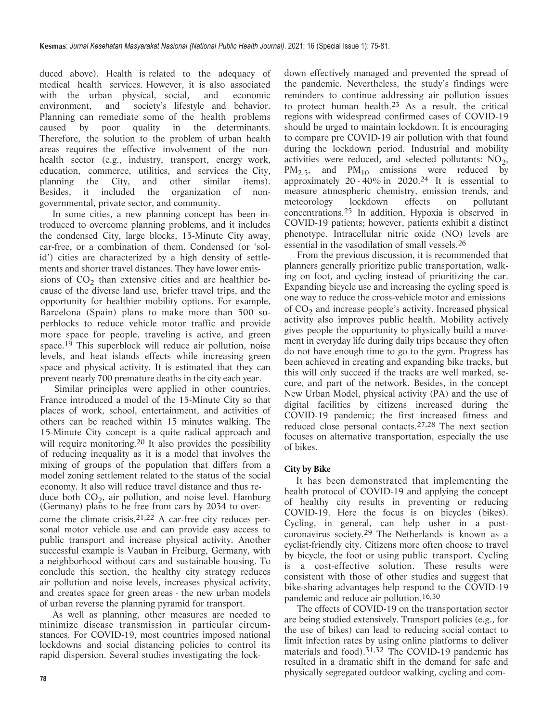duced above). Health is related to the adequacy of medical health services. However, it is also associated with the urban physical, social, and economic environment, and society's lifestyle and behavior. Planning can remediate some of the health problems caused by poor quality in the determinants. Therefore, the solution to the problem of urban health areas requires the effective involvement of the nonhealth sector (e.g., industry, transport, energy work, education, commerce, utilities, and services the City, planning the City, and other similar items). Besides, it included the organization of nongovernmental, private sector, and community.

In some cities, a new planning concept has been introduced to overcome planning problems, and it includes the condensed City, large blocks, 15-Minute City away, car-free, or a combination of them. Condensed (or 'solid') cities are characterized by a high density of settlements and shorter travel distances. They have lower emis-

sions of  $CO<sub>2</sub>$  than extensive cities and are healthier because of the diverse land use, briefer travel trips, and the opportunity for healthier mobility options. For example, Barcelona (Spain) plans to make more than 500 superblocks to reduce vehicle motor traffic and provide more space for people, traveling is active, and green space.[19](#page-5-0) This superblock will reduce air pollution, noise levels, and heat islands effects while increasing green space and physical activity. It is estimated that they can prevent nearly 700 premature deaths in the city each year.

 Similar principles were applied in other countries. France introduced a model of the 15-Minute City so that places of work, school, entertainment, and activities of others can be reached within 15 minutes walking. The 15-Minute City concept is a quite radical approach and will require monitoring.<sup>[20](#page-5-0)</sup> It also provides the possibility of reducing inequality as it is a model that involves the mixing of groups of the population that differs from a model zoning settlement related to the status of the social economy. It also will reduce travel distance and thus reduce both  $CO<sub>2</sub>$ , air pollution, and noise level. Hamburg (Germany) plans to be free from cars by 2034 to overcome the climate crisis.[21,22](#page-6-0) A car-free city reduces personal motor vehicle use and can provide easy access to public transport and increase physical activity. Another successful example is Vauban in Freiburg, Germany, with a neighborhood without cars and sustainable housing. To conclude this section, the healthy city strategy reduces air pollution and noise levels, increases physical activity, and creates space for green areas - the new urban models of urban reverse the planning pyramid for transport.

As well as planning, other measures are needed to minimize disease transmission in particular circumstances. For COVID-19, most countries imposed national lockdowns and social distancing policies to control its rapid dispersion. Several studies investigating the lock-

down effectively managed and prevented the spread of the pandemic. Nevertheless, the study's findings were reminders to continue addressing air pollution issues to protect human health.[23](#page-6-0) As a result, the critical regions with widespread confirmed cases of COVID-19 should be urged to maintain lockdown. It is encouraging to compare pre COVID-19 air pollution with that found during the lockdown period. Industrial and mobility activities were reduced, and selected pollutants:  $NO<sub>2</sub>$ ,  $PM_{2.5}$ , and  $PM_{10}$  emissions were reduced by approximately 20 -  $40\%$  in 2020.<sup>[24](#page-6-0)</sup> It is essential to measure atmospheric chemistry, emission trends, and meteorology lockdown effects on pollutant concentrations.[25](#page-6-0) In addition, Hypoxia is observed in COVID-19 patients; however, patients exhibit a distinct phenotype. Intracellular nitric oxide (NO) levels are essential in the vasodilation of small vessels.[26](#page-6-0)

From the previous discussion, it is recommended that planners generally prioritize public transportation, walking on foot, and cycling instead of prioritizing the car. Expanding bicycle use and increasing the cycling speed is one way to reduce the cross-vehicle motor and emissions of CO<sub>2</sub> and increase people's activity. Increased physical activity also improves public health. Mobility actively gives people the opportunity to physically build a movement in everyday life during daily trips because they often do not have enough time to go to the gym. Progress has been achieved in creating and expanding bike tracks, but this will only succeed if the tracks are well marked, secure, and part of the network. Besides, in the concept New Urban Model, physical activity (PA) and the use of digital facilities by citizens increased during the COVID-19 pandemic; the first increased fitness and reduced close personal contacts.[27,28](#page-6-0) The next section focuses on alternative transportation, especially the use of bikes.

# **City by Bike**

 It has been demonstrated that implementing the health protocol of COVID-19 and applying the concept of healthy city results in preventing or reducing COVID-19. Here the focus is on bicycles (bikes). Cycling, in general, can help usher in a postcoronavirus society.[29](#page-6-0) The Netherlands is known as a cyclist-friendly city. Citizens more often choose to travel by bicycle, the foot or using public transport. Cycling is a cost-effective solution. These results were consistent with those of other studies and suggest that bike-sharing advantages help respond to the COVID-19 pandemic and reduce air pollution.[16,30](#page-5-0)

The effects of COVID-19 on the transportation sector are being studied extensively. Transport policies (e.g., for the use of bikes) can lead to reducing social contact to limit infection rates by using online platforms to deliver materials and food).<sup>[31,32](#page-6-0)</sup> The COVID-19 pandemic has resulted in a dramatic shift in the demand for safe and physically segregated outdoor walking, cycling and com-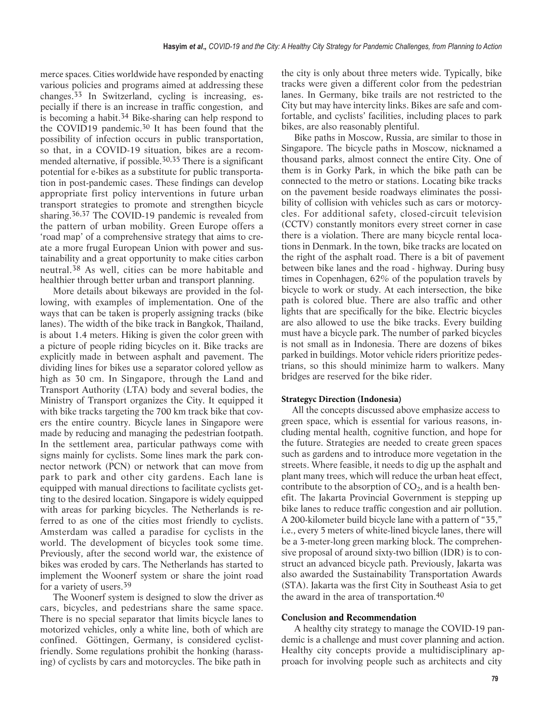merce spaces. Cities worldwide have responded by enacting various policies and programs aimed at addressing these changes.[33](#page-6-0) In Switzerland, cycling is increasing, especially if there is an increase in traffic congestion, and is becoming a habit.<sup>[34](#page-6-0)</sup> Bike-sharing can help respond to the COVID19 pandemic.<sup>30</sup> It has been found that the possibility of infection occurs in public transportation, so that, in a COVID-19 situation, bikes are a recommended alternative, if possible.[30,35](#page-6-0) There is a significant potential for e-bikes as a substitute for public transportation in post-pandemic cases. These findings can develop appropriate first policy interventions in future urban transport strategies to promote and strengthen bicycle sharing.[36,37](#page-6-0) The COVID-19 pandemic is revealed from the pattern of urban mobility. Green Europe offers a 'road map' of a comprehensive strategy that aims to create a more frugal European Union with power and sustainability and a great opportunity to make cities carbon neutral.[38](#page-6-0) As well, cities can be more habitable and healthier through better urban and transport planning.

More details about bikeways are provided in the following, with examples of implementation. One of the ways that can be taken is properly assigning tracks (bike lanes). The width of the bike track in Bangkok, Thailand, is about 1.4 meters. Hiking is given the color green with a picture of people riding bicycles on it. Bike tracks are explicitly made in between asphalt and pavement. The dividing lines for bikes use a separator colored yellow as high as 30 cm. In Singapore, through the Land and Transport Authority (LTA) body and several bodies, the Ministry of Transport organizes the City. It equipped it with bike tracks targeting the 700 km track bike that covers the entire country. Bicycle lanes in Singapore were made by reducing and managing the pedestrian footpath. In the settlement area, particular pathways come with signs mainly for cyclists. Some lines mark the park connector network (PCN) or network that can move from park to park and other city gardens. Each lane is equipped with manual directions to facilitate cyclists getting to the desired location. Singapore is widely equipped with areas for parking bicycles. The Netherlands is referred to as one of the cities most friendly to cyclists. Amsterdam was called a paradise for cyclists in the world. The development of bicycles took some time. Previously, after the second world war, the existence of bikes was eroded by cars. The Netherlands has started to implement the Woonerf system or share the joint road for a variety of users.[39](#page-6-0)

The Woonerf system is designed to slow the driver as cars, bicycles, and pedestrians share the same space. There is no special separator that limits bicycle lanes to motorized vehicles, only a white line, both of which are confined. Göttingen, Germany, is considered cyclistfriendly. Some regulations prohibit the honking (harassing) of cyclists by cars and motorcycles. The bike path in

the city is only about three meters wide. Typically, bike tracks were given a different color from the pedestrian lanes. In Germany, bike trails are not restricted to the City but may have intercity links. Bikes are safe and comfortable, and cyclists' facilities, including places to park bikes, are also reasonably plentiful.

Bike paths in Moscow, Russia, are similar to those in Singapore. The bicycle paths in Moscow, nicknamed a thousand parks, almost connect the entire City. One of them is in Gorky Park, in which the bike path can be connected to the metro or stations. Locating bike tracks on the pavement beside roadways eliminates the possibility of collision with vehicles such as cars or motorcycles. For additional safety, closed-circuit television (CCTV) constantly monitors every street corner in case there is a violation. There are many bicycle rental locations in Denmark. In the town, bike tracks are located on the right of the asphalt road. There is a bit of pavement between bike lanes and the road - highway. During busy times in Copenhagen, 62% of the population travels by bicycle to work or study. At each intersection, the bike path is colored blue. There are also traffic and other lights that are specifically for the bike. Electric bicycles are also allowed to use the bike tracks. Every building must have a bicycle park. The number of parked bicycles is not small as in Indonesia. There are dozens of bikes parked in buildings. Motor vehicle riders prioritize pedestrians, so this should minimize harm to walkers. Many bridges are reserved for the bike rider.

# **Strategyc Direction (Indonesia)**

All the concepts discussed above emphasize access to green space, which is essential for various reasons, including mental health, cognitive function, and hope for the future. Strategies are needed to create green spaces such as gardens and to introduce more vegetation in the streets. Where feasible, it needs to dig up the asphalt and plant many trees, which will reduce the urban heat effect, contribute to the absorption of  $CO<sub>2</sub>$ , and is a health benefit. The Jakarta Provincial Government is stepping up bike lanes to reduce traffic congestion and air pollution. A 200-kilometer build bicycle lane with a pattern of "35," i.e., every 5 meters of white-lined bicycle lanes, there will be a 3-meter-long green marking block. The comprehensive proposal of around sixty-two billion (IDR) is to construct an advanced bicycle path. Previously, Jakarta was also awarded the Sustainability Transportation Awards (STA). Jakarta was the first City in Southeast Asia to get the award in the area of transportation.<sup>40</sup>

# **Conclusion and Recommendation**

A healthy city strategy to manage the COVID-19 pandemic is a challenge and must cover planning and action. Healthy city concepts provide a multidisciplinary approach for involving people such as architects and city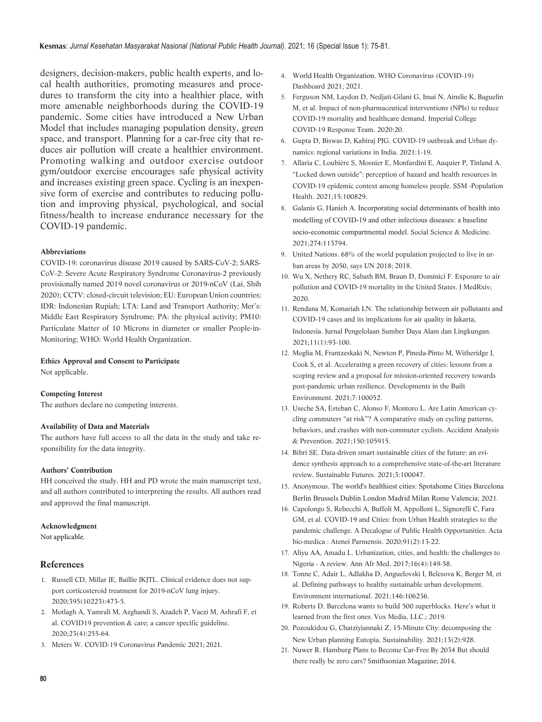<span id="page-5-0"></span>**Kesmas**: *Jurnal Kesehatan Masyarakat Nasional (National Public Health Journal)*. 2021; 16 (Special Issue 1): 75-81.

designers, decision-makers, public health experts, and local health authorities, promoting measures and procedures to transform the city into a healthier place, with more amenable neighborhoods during the COVID-19 pandemic. Some cities have introduced a New Urban Model that includes managing population density, green space, and transport. Planning for a car-free city that reduces air pollution will create a healthier environment. Promoting walking and outdoor exercise outdoor gym/outdoor exercise encourages safe physical activity and increases existing green space. Cycling is an inexpensive form of exercise and contributes to reducing pollution and improving physical, psychological, and social fitness/health to increase endurance necessary for the COVID-19 pandemic.

# **Abbreviations**

COVID-19: coronavirus disease 2019 caused by SARS-CoV-2; SARS-CoV-2: Severe Acute Respiratory Syndrome Coronavirus-2 previously provisionally named 2019 novel coronavirus or 2019-nCoV (Lai, Shih 2020); CCTV: closed-circuit television; EU: European Union countries; IDR: Indonesian Rupiah; LTA: Land and Transport Authority; Mer's: Middle East Respiratory Syndrome; PA: the physical activity; PM10: Particulate Matter of 10 Microns in diameter or smaller People-in-Monitoring; WHO: World Health Organization.

# **Ethics Approval and Consent to Participate**

Not applicable.

## **Competing Interest**

The authors declare no competing interests.

## **Availability of Data and Materials**

The authors have full access to all the data in the study and take responsibility for the data integrity.

## **Authors' Contribution**

HH conceived the study. HH and PD wrote the main manuscript text, and all authors contributed to interpreting the results. All authors read and approved the final manuscript.

## **Acknowledgment**

Not applicable.

# **References**

- 1. [Russell CD, Millar JE, Baillie JKJTL. Clinical evidence does not sup](https://pubmed.ncbi.nlm.nih.gov/32043983/)[port corticosteroid treatment for 2019-nCoV lung injury.](https://pubmed.ncbi.nlm.nih.gov/32043983/) [2020;395\(10223\):473-5.](https://pubmed.ncbi.nlm.nih.gov/32043983/)
- 2. [Motlagh A, Yamrali M, Azghandi S, Azadeh P, Vaezi M, Ashrafi F, et](https://pubmed.ncbi.nlm.nih.gov/32271599/) [al. COVID19 prevention & care; a cancer specific guideline.](https://pubmed.ncbi.nlm.nih.gov/32271599/)  $2020.23(4)0.255 - 64$
- 3. [Meters W. COVID-19 Coronavirus Pandemic 2021](https://www.worldometers.info/coronavirus/ ); 2021.
- 4. World Health Organization[. WHO Coronavirus \(COVID-19\)](https://covid19.who.int/) Dashboard 2021; 2021.
- 5. [Ferguson NM, Laydon D, Nedjati-Gilani G, Imai N, Ainslie K,](https://www.imperial.ac.uk/mrc-global-infectious-disease-analysis/covid-19/report-9-impact-of-npis-on-covid-19/) Baguelin [M, et al. Impact of non-pharmaceutical interventions \(NPIs\)](https://www.imperial.ac.uk/mrc-global-infectious-disease-analysis/covid-19/report-9-impact-of-npis-on-covid-19/) to reduce [COVID-19 mortality and healthcare demand. Imperial](https://www.imperial.ac.uk/mrc-global-infectious-disease-analysis/covid-19/report-9-impact-of-npis-on-covid-19/) College COVID-19 Response Team. 2020:20.
- 6. [Gupta D, Biswas D, Kabiraj PJG. COVID-19 outbreak and Urban dy](https://pubmed.ncbi.nlm.nih.gov/33678946/)namics: r[egional variations in India. 2021:1-19.](https://pubmed.ncbi.nlm.nih.gov/33678946/)
- 7. [Allaria C, Loubière S, Mosnier E, Monfardini E, Auquier P, Tinland A.](https://www.sciencedirect.com/science/article/pii/S235282732100104X) "Locked down outside": p[erception of hazard and health resources in](https://www.sciencedirect.com/science/article/pii/S235282732100104X) [COVID-19 epidemic context among homeless people. SSM -Population](https://www.sciencedirect.com/science/article/pii/S235282732100104X) Health. 2021;15:100829.
- 8. Galanis G, Hanieh A. [Incorporating social determinants of health in](https://www.sciencedirect.com/science/article/pii/S027795362100126X)to [modelling of COVID-19 and other infectious diseases: a baseline](https://www.sciencedirect.com/science/article/pii/S027795362100126X) [socio-economic compartmental model.](https://www.sciencedirect.com/science/article/pii/S027795362100126X) Social Science & Medicine. [2021;274:113794.](https://www.sciencedirect.com/science/article/pii/S027795362100126X)
- 9. [United Nations. 68% of the world population projected to live in ur](https://www.un.org/development/desa/en/news/population/2018-revision-of-world-urbanization-prospects.html)[ban areas by 2050, says UN 2018](https://www.un.org/development/desa/en/news/population/2018-revision-of-world-urbanization-prospects.html); 2018.
- 10. [Wu X, Nethery RC, Sabath BM, Braun D, Dominici F. Exposure to air](https://www.medrxiv.org/content/medrxiv/early/2020/04/27/2020.04.05.20054502.full.pdf) [pollution and COVID-19 mortality in the United States. J MedRxiv](https://www.medrxiv.org/content/medrxiv/early/2020/04/27/2020.04.05.20054502.full.pdf); [2020.](https://www.medrxiv.org/content/medrxiv/early/2020/04/27/2020.04.05.20054502.full.pdf)
- 11. [Rendana M, Komariah LN. The relationship between air pollutants](https://jurnal.ipb.ac.id/index.php/jpsl/article/view/34500) and COVID-19 cases and its implications for air quality in Jakarta, [Indonesia. Jurnal Pengelolaan Sumber](https://jurnal.ipb.ac.id/index.php/jpsl/article/view/34500) Daya Alam dan Lingkungan. [2021;11\(1\):93-100.](https://jurnal.ipb.ac.id/index.php/jpsl/article/view/34500)
- 12. [Moglia M, Frantzeskaki N, Newton P, Pineda-Pinto M, Witheridge J,](https://www.sciencedirect.com/science/article/pii/S2666165921000119) [Cook S, et al. Accelerating a green recovery of cities:](https://www.sciencedirect.com/science/article/pii/S2666165921000119) lessons from a [scoping review and a proposal for mission-oriented recovery towards](https://www.sciencedirect.com/science/article/pii/S2666165921000119) [post-pandemic urban resilience. Developments in the Built](https://www.sciencedirect.com/science/article/pii/S2666165921000119) [Environment. 2021;7:100052.](https://www.sciencedirect.com/science/article/pii/S2666165921000119)
- 13. [Useche SA, Esteban C, Alonso F, Montoro L. Are Latin American cy](https://www.sciencedirect.com/science/article/pii/S0001457520317358)[cling commuters "at risk"? A comparative study on cycling patterns,](https://www.sciencedirect.com/science/article/pii/S0001457520317358) [behaviors, and crashes with non-commuter cyclists. Accident Analysis](https://www.sciencedirect.com/science/article/pii/S0001457520317358) [& Prevention. 2021;150:105915.](https://www.sciencedirect.com/science/article/pii/S0001457520317358)
- 14. [Bibri SE. Data-driven smart sustainable cities of the future:](https://www.sciencedirect.com/science/article/pii/S266618882100006X) an evi[dence synthesis approach to a comprehensive state-of-the-art literature](https://www.sciencedirect.com/science/article/pii/S266618882100006X) [review. Sustainable Futures. 2021;3:100047.](https://www.sciencedirect.com/science/article/pii/S266618882100006X)
- 15. Anonymous. [The world's healthiest cities: Spotahome Cities](https://www.spotahome.com/healthiest-cities-world) Barcelona [Berlin Brussels Dublin London Madrid Milan Rome](https://www.spotahome.com/healthiest-cities-world) [Valencia](https://www.spotahome.com/healthiest-cities-world); 2021.
- 16. [Capolongo S, Rebecchi A, Buffoli M, Appolloni L, Signorelli C, Fara](https://www.ncbi.nlm.nih.gov/pmc/articles/PMC7569650/) [GM, et al. COVID-19 and Cities: from Urban Health strategies to the](https://www.ncbi.nlm.nih.gov/pmc/articles/PMC7569650/) [pandemic challenge. A Decalogue of Public Health](https://www.ncbi.nlm.nih.gov/pmc/articles/PMC7569650/) Opportunities. Acta [bio-medica : Atenei Parmensis. 2020;91\(2\):13-22.](https://www.ncbi.nlm.nih.gov/pmc/articles/PMC7569650/)
- 17. [Aliyu AA, Amadu L. Urbanization, cities, and health:](https://pubmed.ncbi.nlm.nih.gov/29063897) the challenges to [Nigeria - A review. Ann Afr Med. 2017;16\(4\):149-58.](https://pubmed.ncbi.nlm.nih.gov/29063897)
- 18. [Tonne C, Adair L, Adlakha D, Anguelovski I, Belesova K, Berger M, et](https://www.sciencedirect.com/science/article/pii/S0160412020321917) [al. Defining pathways to healthy sustainable urban development.](https://www.sciencedirect.com/science/article/pii/S0160412020321917) [Environment international. 2021;146:106236.](https://www.sciencedirect.com/science/article/pii/S0160412020321917)
- 19. [Roberts D. Barcelona wants to build 500 superblocks. Here's what it](https://www.vox.com/energy-and-environment/2019/4/9/18273894/barcelona-urban-planning-superblocks-poblenou) [learned from the first ones](https://www.vox.com/energy-and-environment/2019/4/9/18273894/barcelona-urban-planning-superblocks-poblenou). Vox Media, LLC.; 2019.
- 20. [Pozoukidou G, Chatziyiannaki Z. 15-Minute City:](https://www.mdpi.com/2071-1050/13/2/928) decomposing the New Urban p[lanning Eutopia. Sustainability. 2021;13\(2\):928.](https://www.mdpi.com/2071-1050/13/2/928)
- 21. [Nuwer R. Hamburg Plans to Become Car-Free By 2034 But should](https://www.smithsonianmag.com/smart-news/hamburg-plans-become-car-free-2034-180949780/) there really be zero cars? [Smithsonian Magazine; 2014.](https://www.smithsonianmag.com/smart-news/hamburg-plans-become-car-free-2034-180949780/)